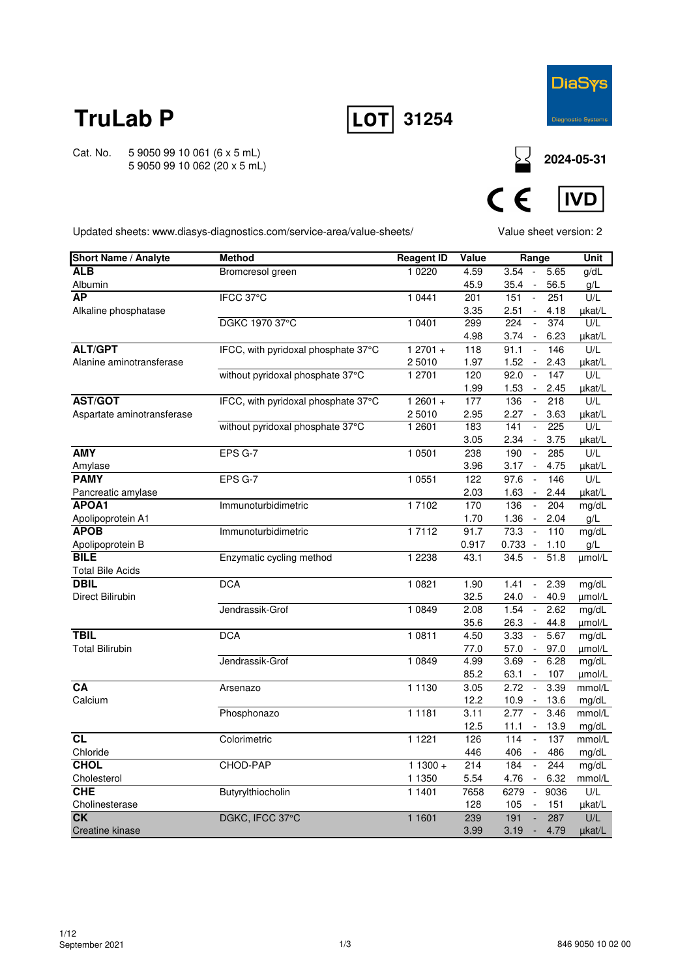



Cat. No. 5 9050 99 10 061 (6 x 5 mL) 5 9050 99 10 062 (20 x 5 mL)

**<sup>2024-05-31</sup>**



Updated sheets: www.diasys-diagnostics.com/service-area/value-sheets/

Value sheet version: 2

| <b>Short Name / Analyte</b> | <b>Method</b>                       | <b>Reagent ID</b> | Value        | Range                                           | Unit             |
|-----------------------------|-------------------------------------|-------------------|--------------|-------------------------------------------------|------------------|
| <b>ALB</b>                  | Bromcresol green                    | 1 0 2 2 0         | 4.59         | 3.54<br>5.65<br>$\Box$                          | g/dL             |
| Albumin                     |                                     |                   | 45.9         | 35.4<br>56.5                                    | g/L              |
| <b>AP</b>                   | IFCC 37°C                           | 1 0 4 4 1         | 201          | $\mathbb{Z}^2$<br>151<br>251                    | U/L              |
| Alkaline phosphatase        |                                     |                   | 3.35         | 2.51<br>4.18<br>$\blacksquare$                  | µkat/L           |
|                             | DGKC 1970 37°C                      | 1 0401            | 299          | 374<br>224<br>$\overline{\phantom{a}}$          | U/L              |
|                             |                                     |                   | 4.98         | 3.74<br>6.23<br>$\sim$                          | µkat/L           |
| <b>ALT/GPT</b>              | IFCC, with pyridoxal phosphate 37°C | $12701 +$         | 118          | 91.1<br>146<br>$\sim$                           | U/L              |
| Alanine aminotransferase    |                                     | 2 5010            | 1.97         | 1.52<br>2.43<br>$\blacksquare$                  | µkat/L           |
|                             | without pyridoxal phosphate 37°C    | 1 2701            | 120          | 92.0<br>147<br>$\overline{\phantom{a}}$         | U/L              |
|                             |                                     |                   | 1.99         | 1.53<br>2.45                                    | µkat/L           |
| <b>AST/GOT</b>              | IFCC, with pyridoxal phosphate 37°C | $12601 +$         | 177          | 136<br>$\mathbb{Z}^2$<br>218                    | U/L              |
| Aspartate aminotransferase  |                                     | 2 5010            | 2.95         | 2.27<br>$\sim$<br>3.63                          | µkat/L           |
|                             | without pyridoxal phosphate 37°C    | 1 2601            | 183          | 141<br>225                                      | U/L              |
|                             |                                     |                   | 3.05         | 2.34<br>3.75<br>$\sim$                          | µkat/L           |
| <b>AMY</b>                  | EPS G-7                             | 1 0501            | 238          | 190<br>285<br>$\blacksquare$                    | U/L              |
| Amylase                     |                                     |                   | 3.96         | 3.17<br>4.75                                    | µkat/L           |
| <b>PAMY</b>                 | EPS G-7                             | 1 0551            | 122          | 97.6<br>146<br>$\bar{\phantom{a}}$              | U/L              |
| Pancreatic amylase          |                                     |                   | 2.03         | 1.63<br>2.44<br>$\sim$                          | µkat/L           |
| APOA1                       | Immunoturbidimetric                 | 17102             | 170          | 136<br>$\mathbf{r}$<br>204                      | mg/dL            |
| Apolipoprotein A1           |                                     |                   | 1.70         | 1.36<br>2.04<br>$\sim$                          | g/L              |
| <b>APOB</b>                 | Immunoturbidimetric                 | 17112             | 91.7         | 73.3<br>110<br>$\sim$                           | mg/dL            |
| Apolipoprotein B            |                                     |                   | 0.917        | 0.733<br>$\sim$<br>1.10                         | $g/L$            |
| <b>BILE</b>                 | Enzymatic cycling method            | 1 2 2 3 8         | 43.1         | 34.5<br>51.8<br>$\overline{\phantom{a}}$        | umol/L           |
| <b>Total Bile Acids</b>     |                                     |                   |              |                                                 |                  |
| <b>DBIL</b>                 | <b>DCA</b>                          | 1 0 8 2 1         | 1.90         | 2.39<br>1.41<br>$\omega$                        | mg/dL            |
| Direct Bilirubin            |                                     |                   | 32.5         | 40.9<br>24.0<br>$\sim$                          | umol/L           |
|                             | Jendrassik-Grof                     | 1 0 8 4 9         | 2.08         | 1.54<br>2.62<br>$\omega$                        | mg/dL            |
|                             |                                     |                   | 35.6         | 26.3<br>44.8<br>$\sim$                          | umol/L           |
| <b>TBIL</b>                 | <b>DCA</b>                          | 1 0811            | 4.50         | 3.33<br>5.67<br>$\sim$                          | mg/dL            |
| <b>Total Bilirubin</b>      | Jendrassik-Grof                     |                   | 77.0         | 57.0<br>97.0<br>$\sim$                          | umol/L           |
|                             |                                     | 1 0 8 4 9         | 4.99<br>85.2 | 3.69<br>$\sim$<br>6.28<br>63.1<br>107<br>$\sim$ | mg/dL            |
| <b>CA</b>                   | Arsenazo                            | 1 1 1 3 0         | 3.05         | 2.72<br>3.39<br>$\sim$                          | µmol/L<br>mmol/L |
| Calcium                     |                                     |                   | 12.2         | 13.6<br>10.9<br>$\overline{\phantom{a}}$        |                  |
|                             | Phosphonazo                         | 1 1 1 8 1         | 3.11         | 3.46<br>2.77<br>$\sim$                          | mg/dL<br>mmol/L  |
|                             |                                     |                   | 12.5         | 11.1<br>$\sim$<br>13.9                          | mg/dL            |
| CL                          | Colorimetric                        | 1 1 2 2 1         | 126          | 137<br>114<br>$\overline{\phantom{a}}$          | mmol/L           |
| Chloride                    |                                     |                   | 446          | 406<br>486                                      |                  |
| <b>CHOL</b>                 | CHOD-PAP                            | $11300 +$         | 214          | 184<br>244<br>$\mathcal{L}$                     | mg/dL<br>mg/dL   |
| Cholesterol                 |                                     | 1 1 3 5 0         | 5.54         | 4.76<br>6.32<br>$\sim$                          | mmol/L           |
| <b>CHE</b>                  | Butyrylthiocholin                   | 1 1401            | 7658         | 6279<br>9036<br>$\overline{\phantom{a}}$        | U/L              |
| Cholinesterase              |                                     |                   | 128          | 105<br>151<br>$\blacksquare$                    | µkat/L           |
| <b>CK</b>                   | DGKC, IFCC 37°C                     | 1 1 6 0 1         | 239          | 287<br>191                                      | U/L              |
| Creatine kinase             |                                     |                   | 3.99         | 3.19<br>4.79<br>$\blacksquare$                  | µkat/L           |
|                             |                                     |                   |              |                                                 |                  |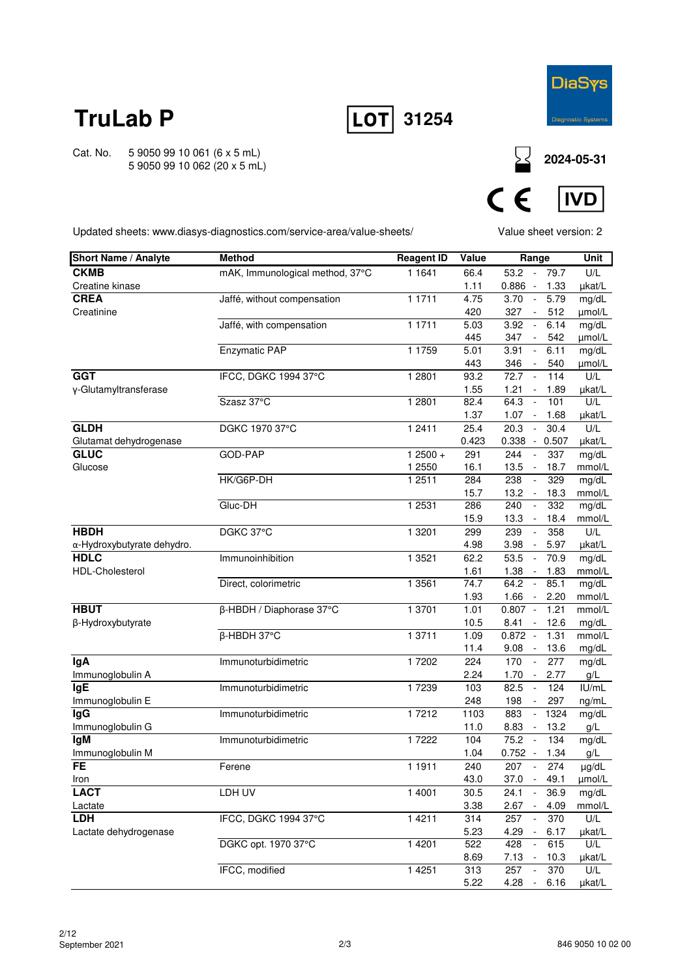



**IVD** 

Cat. No. 5 9050 99 10 061 (6 x 5 mL) 5 9050 99 10 062 (20 x 5 mL)



 $C \in$ 

Updated sheets: www.diasys-diagnostics.com/service-area/value-sheets/

Value sheet version: 2

| <b>Short Name / Analyte</b> | <b>Method</b>                   | <b>Reagent ID</b> | Value | Range                            |       | Unit   |
|-----------------------------|---------------------------------|-------------------|-------|----------------------------------|-------|--------|
| <b>CKMB</b>                 | mAK, Immunological method, 37°C | 1 1 6 4 1         | 66.4  | 53.2 - 79.7                      |       | U/L    |
| Creatine kinase             |                                 |                   | 1.11  | $0.886 -$                        | 1.33  | µkat/L |
| <b>CREA</b>                 | Jaffé, without compensation     | 1 1 7 1 1         | 4.75  | 3.70<br>$\sim$                   | 5.79  | mg/dL  |
| Creatinine                  |                                 |                   | 420   | 327<br>$\blacksquare$            | 512   | µmol/L |
|                             | Jaffé, with compensation        | 1 1711            | 5.03  | 3.92<br>$\sim$                   | 6.14  | mg/dL  |
|                             |                                 |                   | 445   | 347<br>$\overline{\phantom{a}}$  | 542   | µmol/L |
|                             | <b>Enzymatic PAP</b>            | 1 1 7 5 9         | 5.01  | 3.91<br>$\bar{\phantom{a}}$      | 6.11  | mg/dL  |
|                             |                                 |                   | 443   | 346<br>$\blacksquare$            | 540   | µmol/L |
| <b>GGT</b>                  | IFCC, DGKC 1994 37°C            | 1 2801            | 93.2  | 72.7<br>$\overline{\phantom{a}}$ | 114   | U/L    |
| y-Glutamyltransferase       |                                 |                   | 1.55  | 1.21<br>$\overline{\phantom{a}}$ | 1.89  | µkat/L |
|                             | Szasz 37°C                      | 1 2 8 0 1         | 82.4  | 64.3<br>$\Box$                   | 101   | U/L    |
|                             |                                 |                   | 1.37  | 1.07<br>$\sim$                   | 1.68  | µkat/L |
| <b>GLDH</b>                 | DGKC 1970 37°C                  | 1 2411            | 25.4  | 20.3<br>$\blacksquare$           | 30.4  | U/L    |
| Glutamat dehydrogenase      |                                 |                   | 0.423 | $0.338 -$                        | 0.507 | µkat/L |
| <b>GLUC</b>                 | GOD-PAP                         | $12500 +$         | 291   | 244<br>$\mathbf{r}$              | 337   | mg/dL  |
| Glucose                     |                                 | 1 2550            | 16.1  | 13.5<br>$\sim$                   | 18.7  | mmol/L |
|                             | HK/G6P-DH                       | 12511             | 284   | 238<br>$\overline{\phantom{a}}$  | 329   | mg/dL  |
|                             |                                 |                   | 15.7  | 13.2<br>$\sim$                   | 18.3  | mmol/L |
|                             | Gluc-DH                         | 1 2531            | 286   | 240<br>$\overline{\phantom{a}}$  | 332   | mg/dL  |
|                             |                                 |                   | 15.9  | 13.3<br>$\overline{\phantom{a}}$ | 18.4  | mmol/L |
| <b>HBDH</b>                 | DGKC 37°C                       | 1 3 2 0 1         | 299   | 239<br>$\overline{\phantom{a}}$  | 358   | U/L    |
| α-Hydroxybutyrate dehydro.  |                                 |                   | 4.98  | 3.98<br>$\sim$                   | 5.97  | µkat/L |
| <b>HDLC</b>                 | Immunoinhibition                | 1 3521            | 62.2  | 53.5<br>$\sim$                   | 70.9  | mg/dL  |
| <b>HDL-Cholesterol</b>      |                                 |                   | 1.61  | 1.38<br>$\sim$                   | 1.83  | mmol/L |
|                             | Direct, colorimetric            | 1 3 5 6 1         | 74.7  | 64.2<br>$\sim$                   | 85.1  | mg/dL  |
|                             |                                 |                   | 1.93  | 1.66<br>$\blacksquare$           | 2.20  | mmol/L |
| <b>HBUT</b>                 | β-HBDH / Diaphorase 37°C        | 1 3701            | 1.01  | $0.807 -$                        | 1.21  | mmol/L |
| β-Hydroxybutyrate           |                                 |                   | 10.5  | 8.41                             | 12.6  | mg/dL  |
|                             | $\overline{\beta}$ -HBDH 37°C   | 1 3 7 1 1         | 1.09  | $0.872 -$                        | 1.31  | mmol/L |
|                             |                                 |                   | 11.4  | 9.08<br>$\sim$                   | 13.6  | mg/dL  |
| lgA                         | Immunoturbidimetric             | 17202             | 224   | 170<br>$\Box$                    | 277   | mg/dL  |
| Immunoglobulin A            |                                 |                   | 2.24  | 1.70<br>$\sim$                   | 2.77  | g/L    |
| <b>IgE</b>                  | Immunoturbidimetric             | 17239             | 103   | 82.5<br>$\overline{\phantom{a}}$ | 124   | IU/mL  |
| Immunoglobulin E            |                                 |                   | 248   | 198<br>$\overline{\phantom{a}}$  | 297   | ng/mL  |
| lgG                         | Immunoturbidimetric             | 17212             | 1103  | 883                              | 1324  | mg/dL  |
| Immunoglobulin G            |                                 |                   | 11.0  | 8.83<br>$\sim$                   | 13.2  | g/L    |
| lgM                         | Immunoturbidimetric             | 17222             | 104   | 75.2<br>$\sim$                   | 134   | mg/dL  |
| Immunoglobulin M            |                                 |                   | 1.04  | $0.752 -$                        | 1.34  | $g/L$  |
| FE                          | Ferene                          | 1 1911            | 240   | 207 -                            | 274   | µg/dL  |
| Iron                        |                                 |                   | 43.0  | $37.0 - 49.1$                    |       | µmol/L |
| <b>LACT</b>                 | LDH UV                          | 1 4001            | 30.5  | 24.1                             | 36.9  | mg/dL  |
| Lactate                     |                                 |                   | 3.38  | 2.67<br>$\sim$                   | 4.09  | mmol/L |
| <b>LDH</b>                  | IFCC, DGKC 1994 37°C            | 1 4 2 1 1         | 314   | 257                              | 370   | U/L    |
| Lactate dehydrogenase       |                                 |                   | 5.23  | 4.29<br>$\overline{\phantom{a}}$ | 6.17  | µkat/L |
|                             | DGKC opt. 1970 37°C             | 1 4 2 0 1         | 522   | $\omega$<br>428                  | 615   | U/L    |
|                             |                                 |                   | 8.69  | 7.13<br>$\sim$                   | 10.3  | µkat/L |
|                             | IFCC, modified                  | 1 4 2 5 1         | 313   | 257<br>$\overline{\phantom{a}}$  | 370   | U/L    |
|                             |                                 |                   | 5.22  | $4.28 -$                         | 6.16  | µkat/L |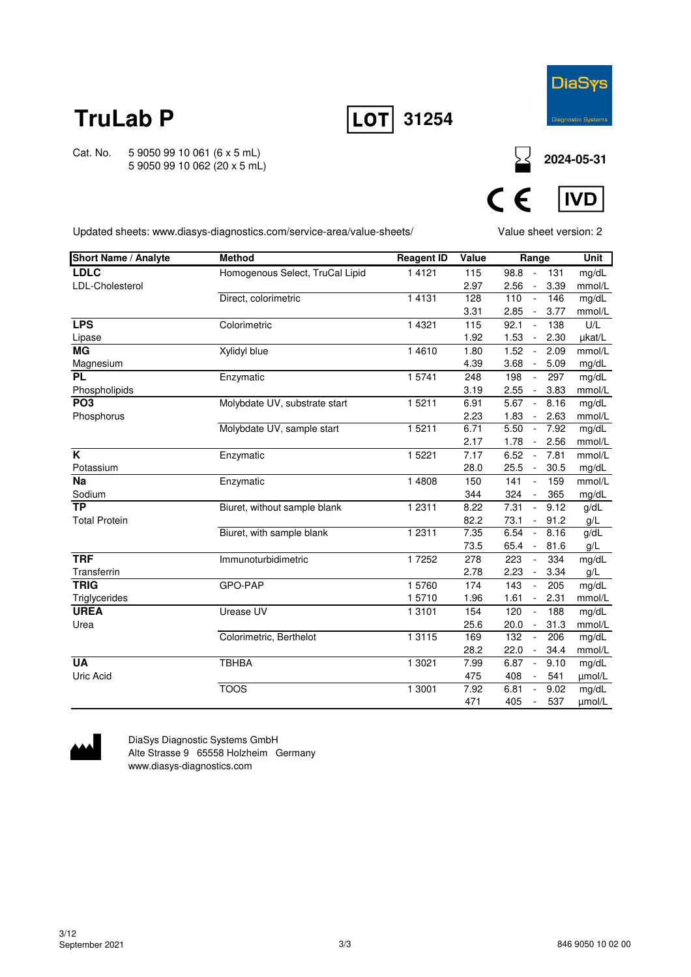



**IVD** 

Cat. No. 5 9050 99 10 061 (6 x 5 mL) 5 9050 99 10 062 (20 x 5 mL)

**2024-05-31**

Updated sheets: www.diasys-diagnostics.com/service-area/value-sheets/

Value sheet version: 2

 $C \in$ 

| <b>Short Name / Analyte</b> | <b>Method</b>                   | <b>Reagent ID</b> | Value | Range                                    | <b>Unit</b> |
|-----------------------------|---------------------------------|-------------------|-------|------------------------------------------|-------------|
| <b>LDLC</b>                 | Homogenous Select, TruCal Lipid | 1 4 1 2 1         | 115   | 98.8<br>131                              | mg/dL       |
| LDL-Cholesterol             |                                 |                   | 2.97  | 2.56<br>3.39<br>$\overline{\phantom{a}}$ | mmol/L      |
|                             | Direct, colorimetric            | 1 4 1 3 1         | 128   | 110<br>146<br>$\blacksquare$             | mg/dL       |
|                             |                                 |                   | 3.31  | 2.85<br>3.77<br>$\blacksquare$           | mmol/L      |
| <b>LPS</b>                  | Colorimetric                    | 1 4 3 2 1         | 115   | 92.1<br>138<br>$\sim$                    | U/L         |
| Lipase                      |                                 |                   | 1.92  | 1.53<br>2.30<br>$\blacksquare$           | µkat/L      |
| <b>MG</b>                   | Xylidyl blue                    | 1 4 6 1 0         | 1.80  | 1.52<br>2.09<br>$\sim$                   | mmol/L      |
| Magnesium                   |                                 |                   | 4.39  | 3.68<br>5.09<br>$\blacksquare$           | mg/dL       |
| <b>PL</b>                   | Enzymatic                       | 15741             | 248   | 198<br>297<br>$\sim$                     | mg/dL       |
| Phospholipids               |                                 |                   | 3.19  | 2.55<br>3.83<br>$\sim$                   | mmol/L      |
| PO <sub>3</sub>             | Molybdate UV, substrate start   | 15211             | 6.91  | 5.67<br>8.16<br>$\sim$                   | mg/dL       |
| Phosphorus                  |                                 |                   | 2.23  | 1.83<br>2.63<br>$\overline{\phantom{a}}$ | mmol/L      |
|                             | Molybdate UV, sample start      | 15211             | 6.71  | 5.50<br>7.92<br>$\blacksquare$           | mg/dL       |
|                             |                                 |                   | 2.17  | 1.78<br>2.56<br>$\sim$                   | mmol/L      |
| K                           | Enzymatic                       | 1 5 2 2 1         | 7.17  | 6.52<br>7.81<br>$\sim$                   | mmol/L      |
| Potassium                   |                                 |                   | 28.0  | 25.5<br>30.5<br>$\sim$                   | mg/dL       |
| <b>Na</b>                   | Enzymatic                       | 1 4808            | 150   | 141<br>159<br>$\omega$                   | mmol/L      |
| Sodium                      |                                 |                   | 344   | 365<br>324<br>$\blacksquare$             | mg/dL       |
| $\overline{TP}$             | Biuret, without sample blank    | 1 2 3 1 1         | 8.22  | 9.12<br>7.31<br>$\omega$                 | g/dL        |
| <b>Total Protein</b>        |                                 |                   | 82.2  | 73.1<br>91.2<br>$\blacksquare$           | g/L         |
|                             | Biuret, with sample blank       | 1 2 3 1 1         | 7.35  | 6.54<br>8.16<br>$\blacksquare$           | g/dL        |
|                             |                                 |                   | 73.5  | 65.4<br>81.6<br>$\blacksquare$           | g/L         |
| <b>TRF</b>                  | Immunoturbidimetric             | 17252             | 278   | 223<br>334<br>$\blacksquare$             | mg/dL       |
| Transferrin                 |                                 |                   | 2.78  | 2.23<br>3.34<br>$\sim$                   | g/L         |
| <b>TRIG</b>                 | GPO-PAP                         | 15760             | 174   | 143<br>205<br>$\blacksquare$             | mg/dL       |
| Triglycerides               |                                 | 15710             | 1.96  | 1.61<br>2.31<br>$\blacksquare$           | mmol/L      |
| <b>UREA</b>                 | Urease UV                       | 1 3 1 0 1         | 154   | 120<br>188<br>$\omega$                   | mg/dL       |
| Urea                        |                                 |                   | 25.6  | 31.3<br>20.0<br>$\sim$                   | mmol/L      |
|                             | Colorimetric, Berthelot         | 1 3 1 1 5         | 169   | 132<br>206<br>$\blacksquare$             | mg/dL       |
|                             |                                 |                   | 28.2  | 34.4<br>22.0<br>$\blacksquare$           | mmol/L      |
| <b>UA</b>                   | <b>TBHBA</b>                    | 1 3021            | 7.99  | 6.87<br>9.10<br>$\sim$                   | mg/dL       |
| Uric Acid                   |                                 |                   | 475   | 408<br>541<br>$\overline{\phantom{a}}$   | umol/L      |
|                             | <b>TOOS</b>                     | 1 3001            | 7.92  | 6.81<br>9.02<br>$\blacksquare$           | mg/dL       |
|                             |                                 |                   | 471   | 405<br>537<br>$\blacksquare$             | µmol/L      |



DiaSys Diagnostic Systems GmbH Alte Strasse 9 65558 Holzheim Germany www.diasys-diagnostics.com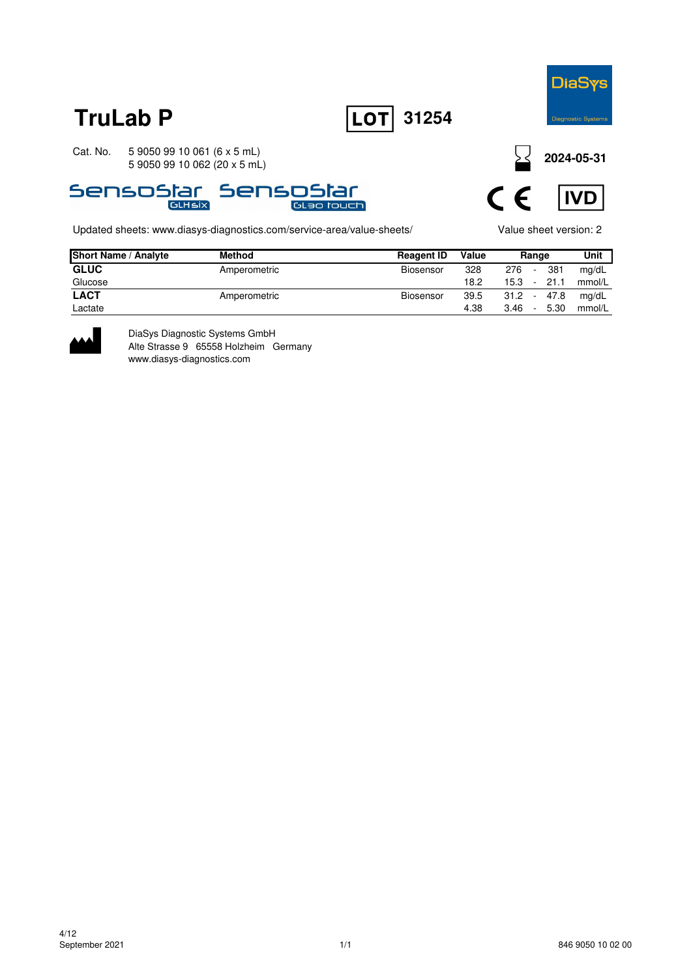





Updated sheets: www.diasys-diagnostics.com/service-area/value-sheets/ Value sheet version: 2

**2024-05-31**



| <b>Short Name / Analyte</b> | <b>Method</b> | <b>Reagent ID</b> | Value |      | Range          | Unit   |
|-----------------------------|---------------|-------------------|-------|------|----------------|--------|
| <b>GLUC</b>                 | Amperometric  | Biosensor         | 328   | 276  | 381<br>۰       | mg/dL  |
| Glucose                     |               |                   | 18.2  | 15.3 | 21.1<br>$\sim$ | mmol/L |
| <b>LACT</b>                 | Amperometric  | Biosensor         | 39.5  | 31.2 | 47.8<br>$\sim$ | mg/dL  |
| Lactate                     |               |                   | 4.38  | 3.46 | 5.30<br>$\sim$ | mmol/L |



DiaSys Diagnostic Systems GmbH Alte Strasse 9 65558 Holzheim Germany www.diasys-diagnostics.com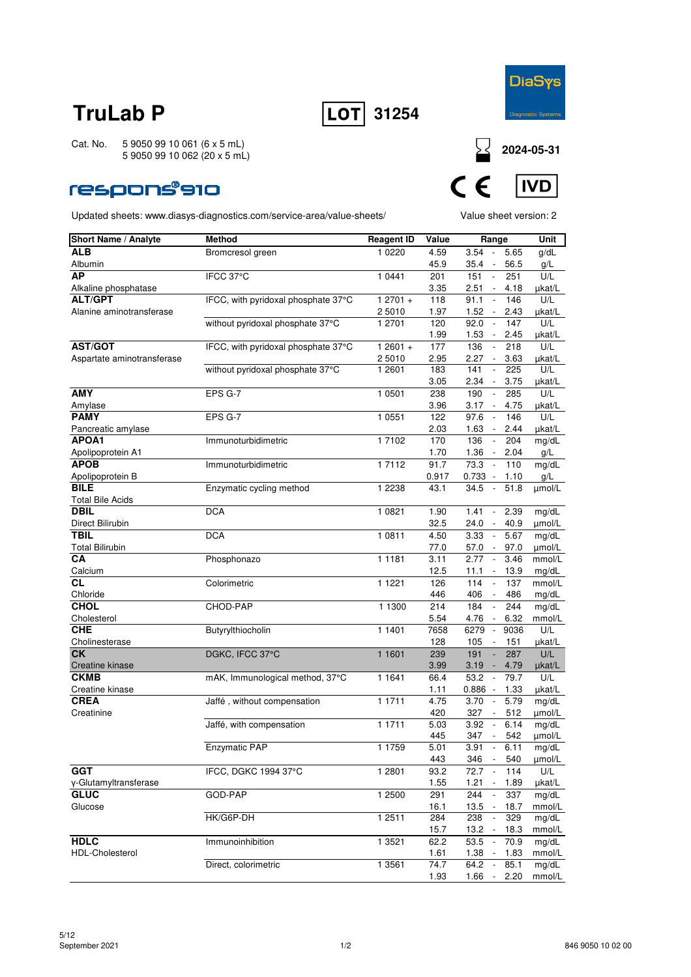



Cat. No. 5 9050 99 10 061 (6 x 5 mL) 5 9050 99 10 062 (20 x 5 mL)

### **respons®910**



| <b>Short Name / Analyte</b> | Method                              | <b>Reagent ID</b>   | Value | Range                                       | <b>Unit</b> |
|-----------------------------|-------------------------------------|---------------------|-------|---------------------------------------------|-------------|
| <b>ALB</b>                  | Bromcresol green                    | 1 0 2 2 0           | 4.59  | $3.54 -$<br>5.65                            | g/dL        |
| Albumin                     |                                     |                     | 45.9  | $35.4 -$<br>56.5                            | g/L         |
| AP                          | IFCC 37°C                           | 1 0441              | 201   | 151<br>251<br>$\overline{\phantom{a}}$      | U/L         |
| Alkaline phosphatase        |                                     |                     | 3.35  | 2.51<br>4.18<br>$\overline{\phantom{a}}$    | µkat/L      |
| <b>ALT/GPT</b>              | IFCC, with pyridoxal phosphate 37°C | $12701 +$           | 118   | 91.1<br>146<br>$\overline{\phantom{a}}$     | U/L         |
| Alanine aminotransferase    |                                     | 2 5010              | 1.97  | 1.52<br>2.43                                | µkat/L      |
|                             | without pyridoxal phosphate 37°C    | 1 2701              | 120   | 92.0<br>$\sim$<br>147                       | U/L         |
|                             |                                     |                     | 1.99  | 1.53<br>2.45<br>$\sim$                      | µkat/L      |
| <b>AST/GOT</b>              | IFCC, with pyridoxal phosphate 37°C | $12601 +$           | 177   | 136<br>218<br>$\overline{\phantom{a}}$      | U/L         |
| Aspartate aminotransferase  |                                     | 2 5010              | 2.95  | 2.27<br>3.63                                | ukat/L      |
|                             | without pyridoxal phosphate 37°C    | 1 2601              | 183   | 141<br>$\Box$<br>225                        | U/L         |
|                             |                                     |                     | 3.05  | 2.34<br>3.75<br>$\overline{\phantom{a}}$    | µkat/L      |
| <b>AMY</b>                  | EPS G-7                             | 1 0501              | 238   | 190<br>285<br>$\overline{\phantom{a}}$      | U/L         |
| Amylase                     |                                     |                     | 3.96  | 3.17<br>$\sim$<br>4.75                      | µkat/L      |
| <b>PAMY</b>                 | EPS G-7                             | 1 0 5 5 1           | 122   | 97.6<br>146<br>$\overline{\phantom{a}}$     | U/L         |
| Pancreatic amylase          |                                     |                     | 2.03  | 1.63<br>2.44                                | µkat/L      |
| APOA1                       |                                     |                     |       | $\mathcal{L}_{\mathcal{A}}$                 |             |
|                             | Immunoturbidimetric                 | 1 7102              | 170   | 136<br>204                                  | mg/dL       |
| Apolipoprotein A1           |                                     |                     | 1.70  | $1.36 -$<br>2.04                            | g/L         |
| <b>APOB</b>                 | Immunoturbidimetric                 | 1 7112              | 91.7  | 73.3<br>110<br>$\overline{\phantom{a}}$     | mg/dL       |
| Apolipoprotein B            |                                     |                     | 0.917 | $0.733 -$<br>1.10                           | g/L         |
| <b>BILE</b>                 | Enzymatic cycling method            | 1 2 2 3 8           | 43.1  | 34.5<br>51.8<br>$\mathcal{L}_{\mathcal{A}}$ | µmol/L      |
| <b>Total Bile Acids</b>     |                                     |                     |       |                                             |             |
| <b>DBIL</b>                 | <b>DCA</b>                          | 1 0821              | 1.90  | 2.39<br>1.41<br>$\overline{\phantom{a}}$    | mg/dL       |
| Direct Bilirubin            |                                     |                     | 32.5  | 24.0<br>40.9<br>$\overline{\phantom{a}}$    | umol/L      |
| <b>TBIL</b>                 | <b>DCA</b>                          | 1 0811              | 4.50  | 5.67<br>3.33<br>$\overline{\phantom{a}}$    | mg/dL       |
| <b>Total Bilirubin</b>      |                                     |                     | 77.0  | 57.0<br>97.0                                | µmol/L      |
| CA                          | Phosphonazo                         | 1 1 1 8 1           | 3.11  | 2.77<br>$\mathcal{L}_{\mathcal{A}}$<br>3.46 | mmol/L      |
| Calcium                     |                                     |                     | 12.5  | 13.9<br>11.1<br>$\sim$                      | mg/dL       |
| CL                          | Colorimetric                        | 1 1 2 2 1           | 126   | 114<br>137<br>$\overline{\phantom{a}}$      | mmol/L      |
| Chloride                    |                                     |                     | 446   | 406<br>486                                  | mg/dL       |
| <b>CHOL</b>                 | CHOD-PAP                            | 1 1300              | 214   | 184<br>$\overline{\phantom{a}}$<br>244      | mg/dL       |
| Cholesterol                 |                                     |                     | 5.54  | 4.76<br>6.32<br>$\sim$                      | mmol/L      |
| <b>CHE</b>                  | Butyrylthiocholin                   | 1 1401              | 7658  | 6279<br>9036<br>$\overline{\phantom{a}}$    | U/L         |
| Cholinesterase              |                                     |                     | 128   | 105<br>151<br>$\overline{\phantom{a}}$      | µkat/L      |
| <b>CK</b>                   | DGKC, IFCC 37°C                     | 1 1 6 0 1           | 239   | 287<br>191                                  | U/L         |
| Creatine kinase             |                                     |                     | 3.99  | 3.19<br>4.79                                | µkat/L      |
| <b>CKMB</b>                 | mAK, Immunological method, 37°C     | $\overline{1}$ 1641 | 66.4  | 53.2<br>$\sim$<br>79.7                      | U/L         |
| Creatine kinase             |                                     |                     | 1.11  | $0.886 -$<br>1.33                           | µkat/L      |
| <b>CREA</b>                 | Jaffé, without compensation         | 1 1711              | 4.75  | 3.70<br>5.79<br>$\overline{\phantom{a}}$    | mg/dL       |
| Creatinine                  |                                     |                     | 420   | 327<br>512                                  | µmol/L      |
|                             | Jaffé, with compensation            | 1 1711              | 5.03  | 3.92<br>6.14<br>$\sim$                      | mg/dL       |
|                             |                                     |                     | 445   | 347<br>542                                  | umol/L      |
|                             | Enzymatic PAP                       | 1 1759              | 5.01  | 3.91<br>6.11                                | mg/dL       |
|                             |                                     |                     | 443   | 346 -<br>540                                | µmol/L      |
| <b>GGT</b>                  | IFCC, DGKC 1994 37°C                | 1 2801              | 93.2  | 114<br>72.7                                 | U/L         |
| y-Glutamyltransferase       |                                     |                     | 1.55  | 1.21<br>1.89                                | µkat/L      |
| <b>GLUC</b>                 | GOD-PAP                             | 1 2500              | 291   | $\sim$<br>244<br>337                        | mg/dL       |
| Glucose                     |                                     |                     | 16.1  | 18.7<br>$13.5 -$                            | mmol/L      |
|                             | HK/G6P-DH                           | 12511               | 284   | 238<br>329<br>$\overline{\phantom{a}}$      | mg/dL       |
|                             |                                     |                     | 15.7  | 18.3<br>13.2 -                              | mmol/L      |
| <b>HDLC</b>                 | Immunoinhibition                    | 1 3 5 2 1           | 62.2  | 53.5<br>70.9<br>$\sim$                      | mg/dL       |
| HDL-Cholesterol             |                                     |                     | 1.61  | 1.38<br>1.83                                | mmol/L      |
|                             | Direct, colorimetric                | 1 3 5 6 1           | 74.7  | 64.2<br>$\sim$<br>85.1                      | mg/dL       |
|                             |                                     |                     | 1.93  | 1.66<br>2.20<br>$\overline{\phantom{a}}$    | mmol/L      |
|                             |                                     |                     |       |                                             |             |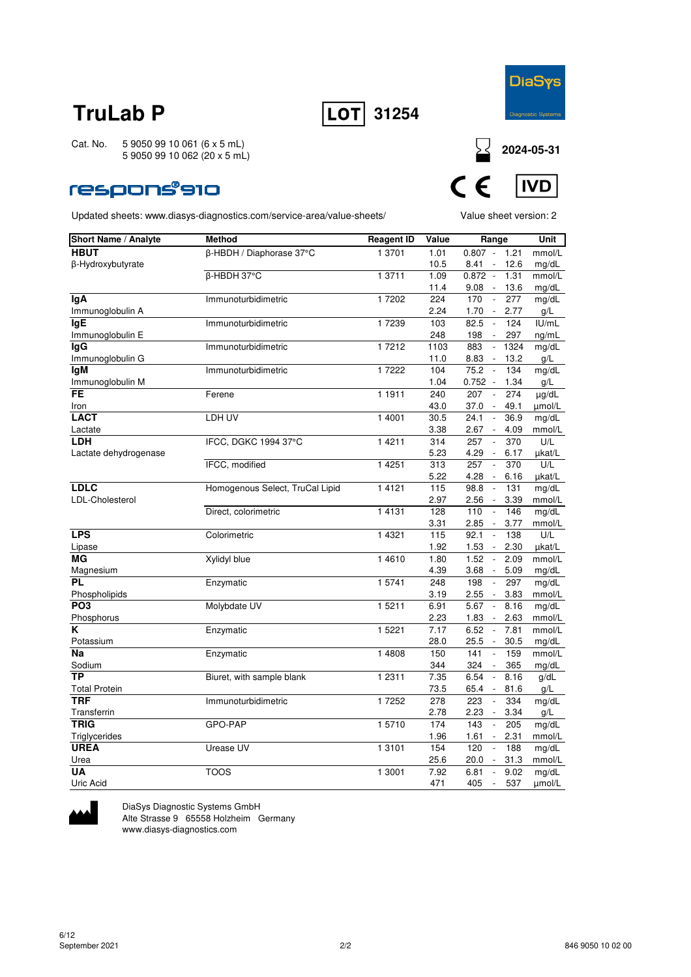



Cat. No. 5 9050 99 10 061 (6 x 5 mL) 5 9050 99 10 062 (20 x 5 mL)

### respons®910

Updated sheets: www.diasys-diagnostics.com/service-area/value-sheets/ Value sheet version: 2



| Short Name / Analyte  | <b>Method</b>                   | <b>Reagent ID</b> | Value | Range                                    | Unit   |
|-----------------------|---------------------------------|-------------------|-------|------------------------------------------|--------|
| <b>HBUT</b>           | β-HBDH / Diaphorase 37°C        | 1 3701            | 1.01  | $0.807 -$<br>1.21                        | mmol/L |
| β-Hydroxybutyrate     |                                 |                   | 10.5  | 8.41<br>12.6<br>$\overline{\phantom{a}}$ | mg/dL  |
|                       | β-HBDH 37°C                     | 1 3711            | 1.09  | $0.872 -$<br>1.31                        | mmol/L |
|                       |                                 |                   | 11.4  | 9.08<br>13.6<br>$\overline{\phantom{a}}$ | mg/dL  |
| <b>IgA</b>            | Immunoturbidimetric             | 17202             | 224   | 170<br>277<br>$\overline{\phantom{a}}$   | mg/dL  |
| Immunoglobulin A      |                                 |                   | 2.24  | 1.70<br>2.77<br>$\overline{\phantom{a}}$ | g/L    |
| lgE                   | Immunoturbidimetric             | 17239             | 103   | 82.5<br>$\mathbb{L}$<br>124              | I U/mL |
| Immunoglobulin E      |                                 |                   | 248   | 198<br>297<br>$\overline{\phantom{a}}$   | ng/mL  |
| lgG                   | Immunoturbidimetric             | 17212             | 1103  | 883<br>1324<br>$\overline{\phantom{a}}$  | mg/dL  |
| Immunoglobulin G      |                                 |                   | 11.0  | 8.83<br>13.2<br>$\sim$                   | g/L    |
| <b>IgM</b>            | Immunoturbidimetric             | 17222             | 104   | 75.2<br>134<br>$\sim$                    | mg/dL  |
| Immunoglobulin M      |                                 |                   | 1.04  | $0.752 -$<br>1.34                        | g/L    |
| <b>FE</b>             | Ferene                          | 1 1911            | 240   | 207<br>274<br>$\overline{\phantom{a}}$   | µg/dL  |
| Iron                  |                                 |                   | 43.0  | 37.0<br>49.1<br>$\overline{\phantom{a}}$ | umol/L |
| <b>LACT</b>           | LDH UV                          | 1 4001            | 30.5  | 36.9<br>24.1<br>$\overline{\phantom{a}}$ | mg/dL  |
| Lactate               |                                 |                   | 3.38  | 2.67<br>4.09                             | mmol/L |
| <b>LDH</b>            | IFCC, DGKC 1994 37°C            | 1 4 2 1 1         | 314   | 257<br>$\overline{a}$<br>370             | U/L    |
| Lactate dehydrogenase |                                 |                   | 5.23  | 4.29<br>6.17                             | µkat/L |
|                       | IFCC, modified                  | 1 4 2 5 1         | 313   | 257<br>370<br>$\Box$                     | U/L    |
|                       |                                 |                   | 5.22  | 4.28<br>6.16<br>$\overline{\phantom{a}}$ | µkat/L |
| <b>LDLC</b>           | Homogenous Select, TruCal Lipid | 1 4 1 2 1         | 115   | 98.8<br>131<br>$\overline{\phantom{a}}$  | mg/dL  |
| LDL-Cholesterol       |                                 |                   | 2.97  | 2.56<br>3.39<br>$\sim$                   | mmol/L |
|                       | Direct, colorimetric            | 1 4 1 3 1         | 128   | 110<br>146<br>$\overline{\phantom{a}}$   | mg/dL  |
|                       |                                 |                   | 3.31  | 3.77<br>2.85<br>$\sim$                   | mmol/L |
| <b>LPS</b>            | Colorimetric                    | 1 4 3 2 1         | 115   | 92.1<br>138<br>$\overline{\phantom{a}}$  | U/L    |
| Lipase                |                                 |                   | 1.92  | 1.53<br>$\overline{\phantom{a}}$<br>2.30 | µkat/L |
| МG                    | <b>Xylidyl blue</b>             | 14610             | 1.80  | 1.52<br>2.09<br>$\overline{\phantom{a}}$ | mmol/L |
| Magnesium             |                                 |                   | 4.39  | 3.68<br>5.09<br>$\sim$                   | mg/dL  |
| PL                    | Enzymatic                       | 1 5741            | 248   | 198<br>297<br>$\overline{\phantom{a}}$   | mg/dL  |
| Phospholipids         |                                 |                   | 3.19  | 2.55<br>3.83                             | mmol/L |
| PO <sub>3</sub>       | Molybdate UV                    | 1 5211            | 6.91  | 5.67<br>$\sim$<br>8.16                   | mg/dL  |
| Phosphorus            |                                 |                   | 2.23  | 1.83<br>2.63                             | mmol/L |
| K                     | Enzymatic                       | 1 5 2 2 1         | 7.17  | 6.52<br>$\overline{\phantom{a}}$<br>7.81 | mmol/L |
| Potassium             |                                 |                   | 28.0  | 25.5<br>30.5<br>$\overline{\phantom{a}}$ | mg/dL  |
| Na                    | Enzymatic                       | 1 4808            | 150   | 141<br>159<br>$\Box$                     | mmol/L |
| Sodium                |                                 |                   | 344   | 324<br>365<br>$\overline{\phantom{a}}$   | mg/dL  |
| ТP                    | Biuret, with sample blank       | 1 2 3 1 1         | 7.35  | 6.54<br>8.16<br>$\overline{\phantom{a}}$ | g/dL   |
| <b>Total Protein</b>  |                                 |                   | 73.5  | 65.4<br>$\sim$<br>81.6                   | g/L    |
| <b>TRF</b>            | Immunoturbidimetric             | 1 7252            | 278   | 223<br>334<br>$\overline{\phantom{a}}$   | mg/dL  |
| Transferrin           |                                 |                   | 2.78  | 2.23<br>3.34<br>$\sim$                   | g/L    |
| <b>TRIG</b>           | GPO-PAP                         | 15710             | 174   | 143<br>205<br>$\overline{\phantom{a}}$   | mg/dL  |
| Triglycerides         |                                 |                   | 1.96  | 1.61<br>2.31                             | mmol/L |
| <b>UREA</b>           | Urease UV                       | 1 3101            | 154   | 120<br>$\overline{\phantom{a}}$<br>188   | mg/dL  |
| Urea                  |                                 |                   | 25.6  | 31.3<br>20.0<br>$\overline{\phantom{a}}$ | mmol/L |
| UA                    | <b>TOOS</b>                     | 1 3001            | 7.92  | 6.81<br>9.02<br>$\overline{\phantom{a}}$ | mg/dL  |
| Uric Acid             |                                 |                   | 471   | 405<br>537<br>$\overline{\phantom{a}}$   | umol/L |



DiaSys Diagnostic Systems GmbH Alte Strasse 9 65558 Holzheim Germany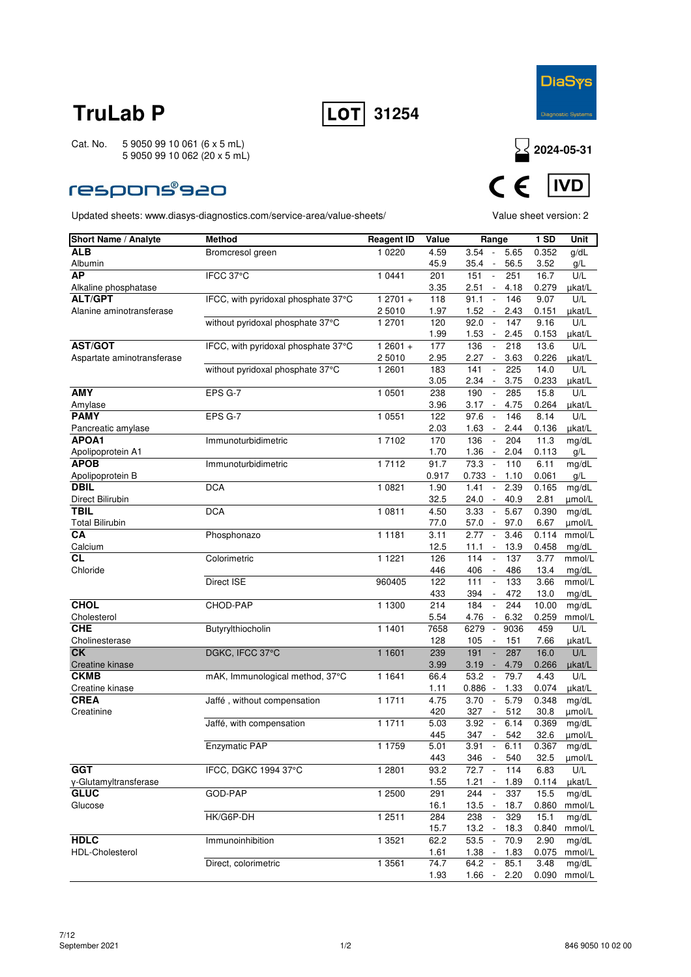



### **respons®s20**



| Short Name / Analyte       | <b>Method</b>                       | <b>Reagent ID</b>   | Value | Range                                     | 1SD   | Unit   |
|----------------------------|-------------------------------------|---------------------|-------|-------------------------------------------|-------|--------|
| ALB                        | Bromcresol green                    | 1 0 2 2 0           | 4.59  | 3.54<br>5.65<br>$\sim$                    | 0.352 | g/dL   |
| Albumin                    |                                     |                     | 45.9  | 56.5<br>35.4<br>$\overline{\phantom{a}}$  | 3.52  | g/L    |
| <b>AP</b>                  | IFCC 37°C                           | 1 0441              | 201   | 151<br>251<br>$\sim$                      | 16.7  | U/L    |
| Alkaline phosphatase       |                                     |                     | 3.35  | 2.51<br>4.18<br>$\overline{\phantom{a}}$  | 0.279 | µkat/L |
| <b>ALT/GPT</b>             | IFCC, with pyridoxal phosphate 37°C | $12701 +$           | 118   | 91.1<br>146<br>$\overline{\phantom{a}}$   | 9.07  | U/L    |
| Alanine aminotransferase   |                                     | 2 5010              | 1.97  | 1.52<br>2.43<br>$\overline{\phantom{a}}$  | 0.151 | µkat/L |
|                            | without pyridoxal phosphate 37°C    | 1 2701              | 120   | 92.0<br>147<br>$\overline{\phantom{a}}$   | 9.16  | U/L    |
|                            |                                     |                     | 1.99  | 1.53<br>2.45<br>$\overline{\phantom{a}}$  | 0.153 | µkat/L |
| AST/GOT                    | IFCC, with pyridoxal phosphate 37°C | $12601 +$           | 177   | 136<br>218<br>$\overline{\phantom{a}}$    | 13.6  | U/L    |
| Aspartate aminotransferase |                                     | 2 5010              | 2.95  | 2.27<br>$\overline{\phantom{a}}$<br>3.63  | 0.226 | ukat/L |
|                            | without pyridoxal phosphate 37°C    | 1 2601              | 183   | 141<br>225                                | 14.0  | U/L    |
|                            |                                     |                     | 3.05  | 2.34<br>3.75<br>$\overline{\phantom{a}}$  | 0.233 | µkat/L |
| <b>AMY</b>                 | EPS G-7                             | 1 0501              | 238   | 190<br>$\mathbb{L}$<br>285                | 15.8  | U/L    |
| Amylase                    |                                     |                     | 3.96  | $3.17 -$<br>4.75                          | 0.264 | µkat/L |
| <b>PAMY</b>                | EPS G-7                             | 1 0 5 5 1           | 122   | 97.6<br>146                               | 8.14  | U/L    |
| Pancreatic amylase         |                                     |                     | 2.03  | 1.63<br>2.44<br>$\overline{\phantom{a}}$  | 0.136 | µkat/L |
| APOA1                      | Immunoturbidimetric                 | 1 7102              | 170   | 136<br>204<br>$\overline{\phantom{a}}$    | 11.3  | mg/dL  |
| Apolipoprotein A1          |                                     |                     | 1.70  | 1.36<br>2.04<br>$\overline{\phantom{a}}$  | 0.113 | g/L    |
| <b>APOB</b>                | Immunoturbidimetric                 | 1 7112              | 91.7  | 73.3<br>110<br>$\overline{\phantom{a}}$   | 6.11  | mg/dL  |
| Apolipoprotein B           |                                     |                     | 0.917 | $0.733 -$<br>1.10                         | 0.061 | g/L    |
| <b>DBIL</b>                | <b>DCA</b>                          | 1 0821              | 1.90  | 1.41<br>2.39<br>$\overline{\phantom{a}}$  | 0.165 | mg/dL  |
| Direct Bilirubin           |                                     |                     | 32.5  | 24.0<br>40.9<br>$\overline{\phantom{a}}$  | 2.81  | µmol/L |
| <b>TBIL</b>                | <b>DCA</b>                          | 1 0811              | 4.50  | $\sim$<br>5.67<br>3.33                    | 0.390 | mg/dL  |
| <b>Total Bilirubin</b>     |                                     |                     | 77.0  | 57.0<br>97.0<br>$\sim$                    | 6.67  | µmol/L |
| CA                         | Phosphonazo                         | 1 1 1 8 1           | 3.11  | 2.77<br>3.46<br>$\overline{\phantom{a}}$  | 0.114 | mmol/L |
| Calcium                    |                                     |                     | 12.5  | 13.9<br>11.1<br>$\overline{\phantom{a}}$  | 0.458 | mg/dL  |
| СL                         | Colorimetric                        | 1 1 2 2 1           | 126   | 114<br>137<br>$\overline{\phantom{a}}$    | 3.77  | mmol/L |
| Chloride                   |                                     |                     | 446   | 406<br>486<br>$\overline{\phantom{a}}$    | 13.4  | mg/dL  |
|                            | Direct ISE                          | 960405              | 122   | 111<br>133<br>$\overline{\phantom{a}}$    | 3.66  | mmol/L |
|                            |                                     |                     | 433   | 394<br>472<br>$\overline{\phantom{a}}$    | 13.0  | mg/dL  |
| <b>CHOL</b>                | CHOD-PAP                            | 1 1300              | 214   | 184<br>244<br>$\overline{\phantom{a}}$    | 10.00 | mg/dL  |
| Cholesterol                |                                     |                     | 5.54  | 4.76<br>6.32<br>$\overline{\phantom{a}}$  | 0.259 | mmol/L |
| <b>CHE</b>                 | Butyrylthiocholin                   | 1 1401              | 7658  | 6279<br>$\overline{\phantom{a}}$<br>9036  | 459   | U/L    |
| Cholinesterase             |                                     |                     | 128   | 105<br>151<br>$\overline{\phantom{a}}$    | 7.66  | µkat/L |
| <b>CK</b>                  | DGKC, IFCC 37°C                     | 1 1601              | 239   | 191<br>287                                | 16.0  | U/L    |
| Creatine kinase            |                                     |                     | 3.99  | 3.19<br>4.79<br>$\overline{\phantom{a}}$  | 0.266 | µkat/L |
| <b>CKMB</b>                | mAK, Immunological method, 37°C     | 1 1 6 4 1           | 66.4  | 53.2<br>79.7<br>$\overline{\phantom{a}}$  | 4.43  | U/L    |
| Creatine kinase            |                                     |                     | 1.11  | 0.886<br>1.33<br>$\overline{\phantom{a}}$ | 0.074 | µkat/L |
| <b>CREA</b>                | Jaffé, without compensation         | 1 1711              | 4.75  | 3.70<br>5.79<br>$\overline{\phantom{a}}$  | 0.348 | mg/dL  |
| Creatinine                 |                                     |                     | 420   | 327<br>512<br>$\overline{\phantom{a}}$    | 30.8  | umol/L |
|                            | Jaffé, with compensation            | 1 1711              | 5.03  | 6.14<br>3.92<br>$\overline{\phantom{a}}$  | 0.369 | mg/dL  |
|                            |                                     |                     | 445   | 347<br>$\overline{\phantom{a}}$<br>542    | 32.6  | µmol/L |
|                            | <b>Enzymatic PAP</b>                | 1 1759              | 5.01  | 3.91<br>6.11<br>$\overline{\phantom{a}}$  | 0.367 | mg/dL  |
|                            |                                     |                     | 443   | 346<br>540<br>$\sim$                      | 32.5  | µmol/L |
| <b>GGT</b>                 | IFCC, DGKC 1994 37°C                | $\overline{1}$ 2801 | 93.2  | 72.7<br>$\sim$<br>114                     | 6.83  | U/L    |
| y-Glutamyltransferase      |                                     |                     | 1.55  | $1.21 -$<br>1.89                          | 0.114 | µkat/L |
| <b>GLUC</b>                | GOD-PAP                             | 12500               | 291   | 244<br>337<br>$\overline{\phantom{a}}$    | 15.5  | mg/dL  |
| Glucose                    |                                     |                     | 16.1  | 13.5<br>18.7<br>$\overline{\phantom{a}}$  | 0.860 | mmol/L |
|                            | HK/G6P-DH                           | 1 2511              | 284   | 238<br>329<br>$\Box$                      | 15.1  | mg/dL  |
|                            |                                     |                     | 15.7  | 13.2<br>18.3<br>$\sim$                    | 0.840 | mmol/L |
| <b>HDLC</b>                | Immunoinhibition                    | 1 3521              | 62.2  | 53.5<br>70.9<br>$\overline{\phantom{a}}$  | 2.90  | mg/dL  |
| <b>HDL-Cholesterol</b>     |                                     |                     | 1.61  | 1.38<br>$\sim$<br>1.83                    | 0.075 | mmol/L |
|                            | Direct, colorimetric                | 1 3561              | 74.7  | 64.2<br>85.1<br>$\overline{\phantom{a}}$  | 3.48  | mg/dL  |
|                            |                                     |                     | 1.93  | 1.66<br>2.20<br>$\overline{\phantom{a}}$  | 0.090 | mmol/L |
|                            |                                     |                     |       |                                           |       |        |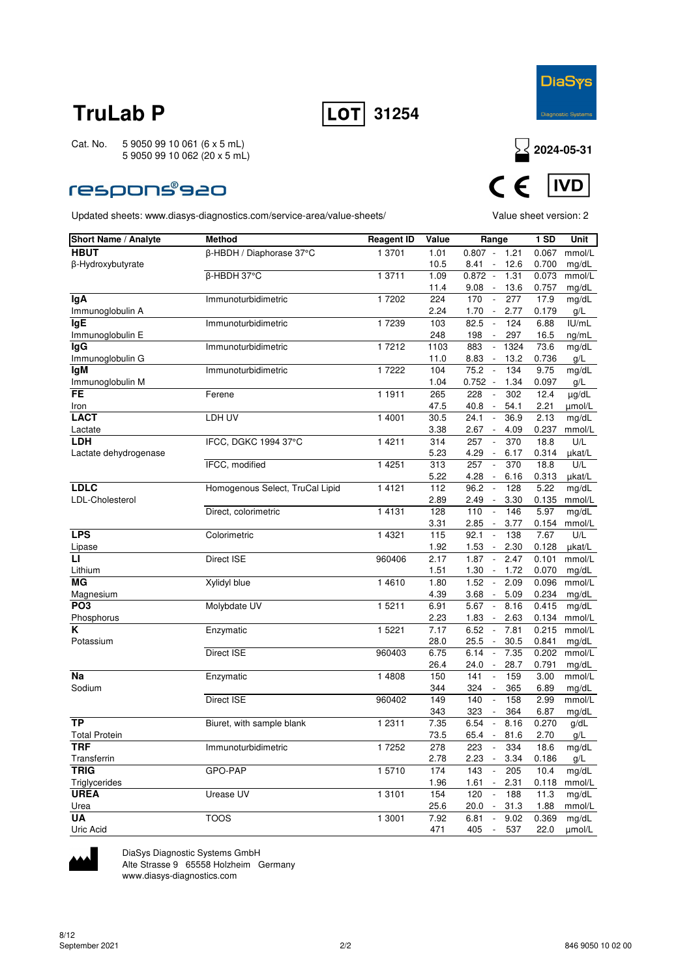



### **respons®s20**

Updated sheets: www.diasys-diagnostics.com/service-area/value-sheets/ Value sheet version: 2



| Short Name / Analyte  | <b>Method</b>                   | <b>Reagent ID</b> | Value        | Range                                            | 1 SD           | Unit             |
|-----------------------|---------------------------------|-------------------|--------------|--------------------------------------------------|----------------|------------------|
| <b>HBUT</b>           | β-HBDH / Diaphorase 37°C        | 1 3701            | 1.01         | $0.807 -$<br>1.21                                | 0.067          | mmol/L           |
| β-Hydroxybutyrate     |                                 |                   | 10.5         | 12.6<br>8.41<br>$\overline{\phantom{a}}$         | 0.700          | mg/dL            |
|                       | β-HBDH 37°C                     | 1 3711            | 1.09         | $0.872 -$<br>1.31                                | 0.073          | mmol/L           |
|                       |                                 |                   | 11.4         | 9.08<br>$\sim$<br>13.6                           | 0.757          | mg/dL            |
| lgA                   | Immunoturbidimetric             | 17202             | 224          | 170<br>$\overline{\phantom{a}}$<br>277           | 17.9           | mg/dL            |
| Immunoglobulin A      |                                 |                   | 2.24         | 1.70<br>$\sim$<br>2.77                           | 0.179          | g/L              |
| <b>IgE</b>            | Immunoturbidimetric             | 17239             | 103          | 82.5<br>$\mathbb{L}$<br>124                      | 6.88           | IUI/mL           |
| Immunoglobulin E      |                                 |                   | 248          | 198<br>297<br>$\overline{\phantom{a}}$           | 16.5           | ng/mL            |
| <b>IgG</b>            | Immunoturbidimetric             | 17212             | 1103         | 883<br>1324<br>$\overline{\phantom{a}}$          | 73.6           | mg/dL            |
| Immunoglobulin G      |                                 |                   | 11.0         | 8.83<br>13.2<br>$\blacksquare$                   | 0.736          | g/L              |
| lgM                   | Immunoturbidimetric             | 1 7222            | 104          | 75.2<br>$\mathbb{L}$<br>134                      | 9.75           | mg/dL            |
| Immunoglobulin M      |                                 |                   | 1.04         | $0.752 -$<br>1.34                                | 0.097          | g/L              |
| FE                    | Ferene                          | 1 1911            | 265          | 228<br>302<br>$\overline{\phantom{a}}$           | 12.4           | µg/dL            |
| Iron                  |                                 |                   | 47.5         | 40.8<br>54.1                                     | 2.21           | µmol/L           |
| <b>LACT</b>           | LDH UV                          | 1 4001            | 30.5         | 24.1<br>36.9<br>$\overline{\phantom{a}}$         | 2.13           | mg/dL            |
| Lactate               |                                 |                   | 3.38         | 2.67<br>4.09<br>$\overline{\phantom{a}}$         | 0.237          | mmol/L           |
| <b>LDH</b>            | IFCC, DGKC 1994 37°C            | 1 4 2 1 1         | 314          | 257<br>370<br>$\overline{\phantom{a}}$           | 18.8           | U/L              |
| Lactate dehydrogenase |                                 |                   | 5.23         | 4.29<br>$\overline{\phantom{a}}$<br>6.17         | 0.314          | µkat/L           |
|                       | IFCC, modified                  | 1 4 2 5 1         | 313          | 257<br>370<br>$\overline{\phantom{a}}$           | 18.8           | U/L              |
|                       |                                 |                   | 5.22         | 4.28<br>6.16<br>$\overline{\phantom{a}}$         | 0.313          | µkat/L           |
| <b>LDLC</b>           | Homogenous Select, TruCal Lipid | 1 4 1 2 1         | 112          | 96.2<br>128<br>$\overline{\phantom{a}}$          | 5.22           | mg/dL            |
| LDL-Cholesterol       |                                 |                   | 2.89         | 2.49<br>3.30<br>$\blacksquare$                   | 0.135          | mmol/L           |
|                       | Direct, colorimetric            | 1 4 1 3 1         | 128          | 110<br>146<br>$\overline{\phantom{a}}$           | 5.97           | mg/dL            |
|                       |                                 |                   | 3.31         | 2.85<br>3.77<br>$\sim$                           | 0.154          | mmol/L           |
| <b>LPS</b>            | Colorimetric                    | 1 4321            | 115          | 92.1<br>138<br>$\overline{\phantom{a}}$          | 7.67           | U/L              |
| Lipase                |                                 |                   | 1.92         | 1.53<br>$\overline{\phantom{a}}$<br>2.30         | 0.128          | µkat/L           |
| Ы                     | Direct ISE                      | 960406            | 2.17         | 1.87<br>2.47<br>$\overline{\phantom{a}}$         | 0.101          | mmol/L           |
| Lithium               |                                 |                   | 1.51         | 1.30<br>$\overline{\phantom{a}}$<br>1.72         | 0.070          | mg/dL            |
| MG                    | Xylidyl blue                    | 1 46 10           | 1.80         | 1.52<br>2.09<br>$\overline{\phantom{a}}$         | 0.096          | mmol/L           |
| Magnesium             |                                 |                   | 4.39         | 3.68<br>$\mathcal{L}_{\mathcal{A}}$<br>5.09      | 0.234          | mg/dL            |
| PO <sub>3</sub>       | Molybdate UV                    | 1 5211            | 6.91         | 5.67<br>$\overline{\phantom{a}}$<br>8.16         | 0.415          | mg/dL            |
| Phosphorus<br>Κ       |                                 | 1 5221            | 2.23<br>7.17 | 1.83<br>2.63<br>$\sim$<br>6.52<br>$\Box$<br>7.81 | 0.134<br>0.215 | mmol/L<br>mmol/L |
|                       | Enzymatic                       |                   |              | 25.5<br>30.5<br>$\overline{\phantom{a}}$         | 0.841          |                  |
| Potassium             | Direct ISE                      | 960403            | 28.0<br>6.75 | 6.14<br>$\overline{\phantom{a}}$<br>7.35         | 0.202          | mg/dL<br>mmol/L  |
|                       |                                 |                   | 26.4         | 24.0<br>28.7                                     | 0.791          | mg/dL            |
| <b>Na</b>             | Enzymatic                       | 1 4808            | 150          | 141<br>159<br>$\overline{\phantom{a}}$           | 3.00           | mmol/L           |
| Sodium                |                                 |                   | 344          | 324<br>365<br>$\overline{a}$                     | 6.89           | mg/dL            |
|                       | Direct ISE                      | 960402            | 149          | 140<br>158<br>$\sim$                             | 2.99           | mmol/L           |
|                       |                                 |                   | 343          | 323<br>364<br>$\overline{\phantom{a}}$           | 6.87           | mg/dL            |
| <b>TP</b>             | Biuret, with sample blank       | 1 2 3 1 1         | 7.35         | 6.54<br>8.16<br>$\overline{\phantom{a}}$         | 0.270          | g/dL             |
| <b>Total Protein</b>  |                                 |                   | 73.5         | 65.4<br>$\overline{\phantom{a}}$<br>81.6         | 2.70           | g/L              |
| <b>TRF</b>            | Immunoturbidimetric             | 1 7252            | 278          | 223<br>334<br>$\overline{\phantom{a}}$           | 18.6           | mg/dL            |
| Transferrin           |                                 |                   | 2.78         | 2.23<br>$\mathcal{L}_{\mathcal{A}}$<br>3.34      | 0.186          | g/L              |
| <b>TRIG</b>           | GPO-PAP                         | 15710             | 174          | 143<br>205<br>$\overline{\phantom{a}}$           | 10.4           | mg/dL            |
| Triglycerides         |                                 |                   | 1.96         | 1.61<br>$\overline{\phantom{a}}$<br>2.31         | 0.118          | mmol/L           |
| <b>UREA</b>           | Urease UV                       | 1 3 1 0 1         | 154          | 120<br>188<br>$\overline{\phantom{a}}$           | 11.3           | mg/dL            |
| Urea                  |                                 |                   | 25.6         | $\overline{\phantom{a}}$<br>31.3<br>20.0         | 1.88           | mmol/L           |
| UA                    | <b>TOOS</b>                     | 1 3001            | 7.92         | 6.81<br>9.02<br>$\overline{\phantom{a}}$         | 0.369          | mg/dL            |
| Uric Acid             |                                 |                   | 471          | 405<br>537<br>$\overline{\phantom{a}}$           | 22.0           | umol/L           |



DiaSys Diagnostic Systems GmbH

Alte Strasse 9 65558 Holzheim Germany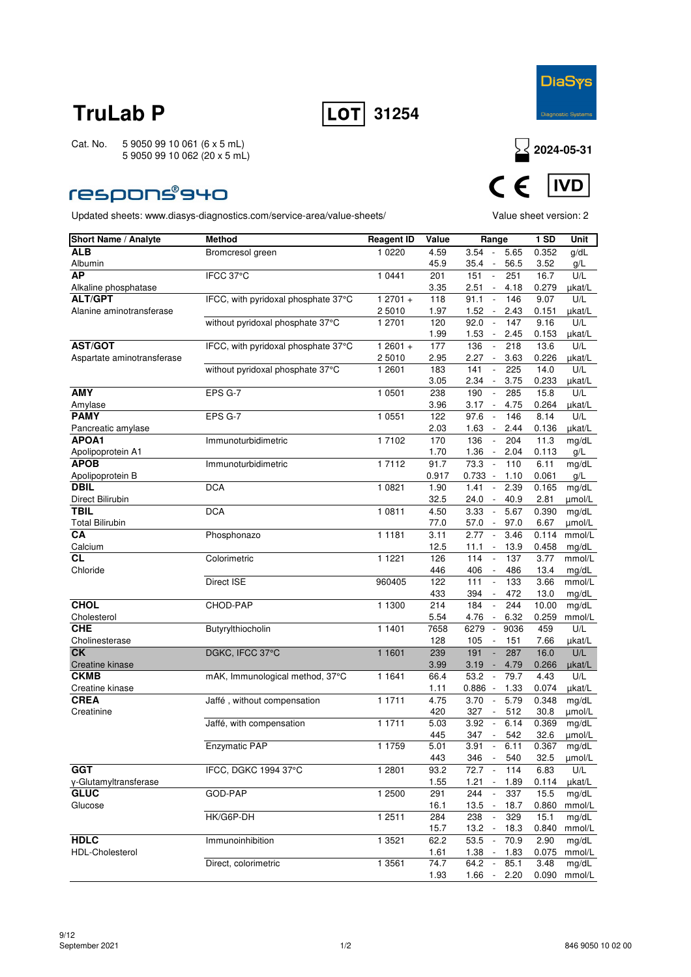



### **respons®940**



| Short Name / Analyte            | <b>Method</b>                       | <b>Reagent ID</b> | Value         | Range                                                              | <b>1 SD</b>    | Unit             |
|---------------------------------|-------------------------------------|-------------------|---------------|--------------------------------------------------------------------|----------------|------------------|
| <b>ALB</b>                      | Bromcresol green                    | 1 0 2 2 0         | 4.59          | 3.54<br>5.65<br>$\overline{\phantom{a}}$                           | 0.352          | g/dL             |
| Albumin                         |                                     |                   | 45.9          | 56.5<br>35.4                                                       | 3.52           | g/L              |
| AP                              | IFCC 37°C                           | 1 0441            | 201           | 151<br>$\mathbb{L}$<br>251                                         | 16.7           | U/L              |
| Alkaline phosphatase            |                                     |                   | 3.35          | 2.51<br>4.18<br>$\overline{\phantom{a}}$                           | 0.279          | µkat/L           |
| <b>ALT/GPT</b>                  | IFCC, with pyridoxal phosphate 37°C | $12701 +$         | 118           | 91.1<br>146<br>$\overline{\phantom{a}}$                            | 9.07           | U/L              |
| Alanine aminotransferase        |                                     | 2 5010            | 1.97          | 1.52<br>2.43<br>$\overline{\phantom{a}}$                           | 0.151          | µkat/L           |
|                                 | without pyridoxal phosphate 37°C    | 1 2701            | 120           | 92.0<br>147<br>$\overline{\phantom{a}}$                            | 9.16           | U/L              |
|                                 |                                     |                   | 1.99          | 1.53<br>2.45<br>$\blacksquare$                                     | 0.153          | µkat/L           |
| <b>AST/GOT</b>                  | IFCC, with pyridoxal phosphate 37°C | $12601 +$         | 177           | 136<br>218<br>$\overline{\phantom{a}}$                             | 13.6           | U/L              |
| Aspartate aminotransferase      |                                     | 25010             | 2.95          | 2.27<br>3.63<br>$\overline{\phantom{a}}$                           | 0.226          | µkat/L           |
|                                 | without pyridoxal phosphate 37°C    | 1 2601            | 183<br>3.05   | 141<br>225<br>2.34<br>3.75                                         | 14.0           | U/L              |
| <b>AMY</b>                      |                                     |                   |               | $\overline{\phantom{a}}$<br>190<br>285<br>$\overline{\phantom{a}}$ | 0.233<br>15.8  | µkat/L<br>U/L    |
|                                 | EPS G-7                             | 1 0501            | 238           |                                                                    |                |                  |
| Amylase<br><b>PAMY</b>          | EPS G-7                             | 1 0551            | 3.96<br>122   | 3.17<br>4.75<br>$\sim$<br>97.6<br>146<br>$\overline{\phantom{a}}$  | 0.264<br>8.14  | µkat/L<br>U/L    |
|                                 |                                     |                   | 2.03          | 1.63<br>2.44<br>$\sim$                                             | 0.136          |                  |
| Pancreatic amylase<br>APOA1     | Immunoturbidimetric                 | 17102             |               | 136<br>204<br>$\overline{\phantom{a}}$                             | 11.3           | µkat/L           |
| Apolipoprotein A1               |                                     |                   | 170<br>1.70   | 1.36<br>2.04<br>$\overline{\phantom{a}}$                           | 0.113          | mg/dL<br>g/L     |
| <b>APOB</b>                     | Immunoturbidimetric                 | 17112             | 91.7          | 73.3<br>110<br>$\mathbb{Z}$                                        | 6.11           | mg/dL            |
|                                 |                                     |                   |               | $0.733 -$                                                          |                | g/L              |
| Apolipoprotein B<br><b>DBIL</b> | <b>DCA</b>                          | 1 0821            | 0.917<br>1.90 | 1.10<br>1.41<br>2.39<br>$\overline{\phantom{a}}$                   | 0.061<br>0.165 |                  |
| Direct Bilirubin                |                                     |                   | 32.5          | 24.0<br>40.9<br>$\overline{\phantom{a}}$                           | 2.81           | mg/dL<br>umol/L  |
| <b>TBIL</b>                     | <b>DCA</b>                          | 1 0811            | 4.50          | 3.33<br>$\Box$<br>5.67                                             | 0.390          | mg/dL            |
|                                 |                                     |                   |               |                                                                    | 6.67           |                  |
| <b>Total Bilirubin</b><br>СA    | Phosphonazo                         | 1 1 1 8 1         | 77.0<br>3.11  | 57.0<br>97.0<br>$\sim$<br>2.77<br>3.46<br>$\overline{\phantom{a}}$ | 0.114          | µmol/L<br>mmol/L |
| Calcium                         |                                     |                   | 12.5          | 11.1<br>13.9<br>$\blacksquare$                                     | 0.458          | mq/dL            |
| СL                              | Colorimetric                        | 1 1 2 2 1         | 126           | 114<br>137                                                         | 3.77           | mmol/L           |
| Chloride                        |                                     |                   | 446           | 406<br>486                                                         | 13.4           | mg/dL            |
|                                 | Direct ISE                          | 960405            | 122           | 111<br>133<br>$\overline{\phantom{a}}$                             | 3.66           | mmol/L           |
|                                 |                                     |                   | 433           | 472<br>394<br>$\overline{\phantom{a}}$                             | 13.0           | mg/dL            |
| <b>CHOL</b>                     | CHOD-PAP                            | 1 1300            | 214           | 184<br>244<br>$\overline{\phantom{a}}$                             | 10.00          | mg/dL            |
| Cholesterol                     |                                     |                   | 5.54          | 4.76<br>6.32<br>$\overline{\phantom{a}}$                           | 0.259          | mmol/L           |
| <b>CHE</b>                      | Butyrylthiocholin                   | 1 1401            | 7658          | 6279<br>9036<br>$\overline{\phantom{a}}$                           | 459            | U/L              |
| Cholinesterase                  |                                     |                   | 128           | 105<br>151<br>$\overline{\phantom{a}}$                             | 7.66           | µkat/L           |
| <b>CK</b>                       | DGKC, IFCC 37°C                     | 1 1601            | 239           | 191<br>287<br>÷,                                                   | 16.0           | U/L              |
| Creatine kinase                 |                                     |                   | 3.99          | 3.19<br>4.79<br>$\overline{\phantom{a}}$                           | 0.266          | µkat/L           |
| <b>CKMB</b>                     | mAK, Immunological method, 37°C     | 1 1 6 4 1         | 66.4          | 53.2<br>79.7<br>$\overline{\phantom{a}}$                           | 4.43           | U/L              |
| Creatine kinase                 |                                     |                   | 1.11          | 0.886<br>1.33<br>$\overline{\phantom{a}}$                          | 0.074          | µkat/L           |
| <b>CREA</b>                     | Jaffé, without compensation         | 1 1711            | 4.75          | 3.70<br>5.79<br>$\Box$                                             | 0.348          | mg/dL            |
| Creatinine                      |                                     |                   | 420           | 327<br>512<br>$\overline{\phantom{a}}$                             | 30.8           | µmol/L           |
|                                 | Jaffé, with compensation            | 1 1711            | 5.03          | 6.14<br>3.92<br>$\overline{\phantom{a}}$                           | 0.369          | mg/dL            |
|                                 |                                     |                   | 445           | 347<br>542<br>$\overline{\phantom{a}}$                             | 32.6           | µmol/L           |
|                                 | Enzymatic PAP                       | 1 1759            | 5.01          | 3.91<br>6.11<br>$\overline{\phantom{a}}$                           | 0.367          | mg/dL            |
|                                 |                                     |                   | 443           | 346<br>540<br>$\sim$                                               | 32.5           | $\mu$ mol/L      |
| <b>GGT</b>                      | IFCC, DGKC 1994 37°C                | 1 2801            | 93.2          | $\sim$<br>72.7<br>114                                              | 6.83           | U/L              |
| γ-Glutamyltransferase           |                                     |                   | 1.55          | $1.21 -$<br>1.89                                                   | 0.114          | µkat/L           |
| <b>GLUC</b>                     | GOD-PAP                             | 1 2500            | 291           | 244<br>337<br>$\overline{\phantom{a}}$                             | 15.5           | mg/dL            |
| Glucose                         |                                     |                   | 16.1          | 13.5<br>18.7<br>$\sim$                                             | 0.860          | mmol/L           |
|                                 | HK/G6P-DH                           | 1 2511            | 284           | 238<br>329                                                         | 15.1           | mg/dL            |
|                                 |                                     |                   | 15.7          | $13.2 -$<br>18.3                                                   | 0.840          | mmol/L           |
| <b>HDLC</b>                     | Immunoinhibition                    | 1 3 5 2 1         | 62.2          | 53.5<br>$\sim$<br>70.9                                             | 2.90           | mg/dL            |
| <b>HDL-Cholesterol</b>          |                                     |                   | 1.61          | $1.38 -$<br>1.83                                                   | 0.075          | mmol/L           |
|                                 | Direct, colorimetric                | 1 3561            | 74.7          | 64.2<br>85.1<br>$\overline{\phantom{a}}$                           | 3.48           | mg/dL            |
|                                 |                                     |                   | 1.93          | 1.66<br>2.20<br>$\overline{\phantom{a}}$                           | 0.090          | mmol/L           |
|                                 |                                     |                   |               |                                                                    |                |                  |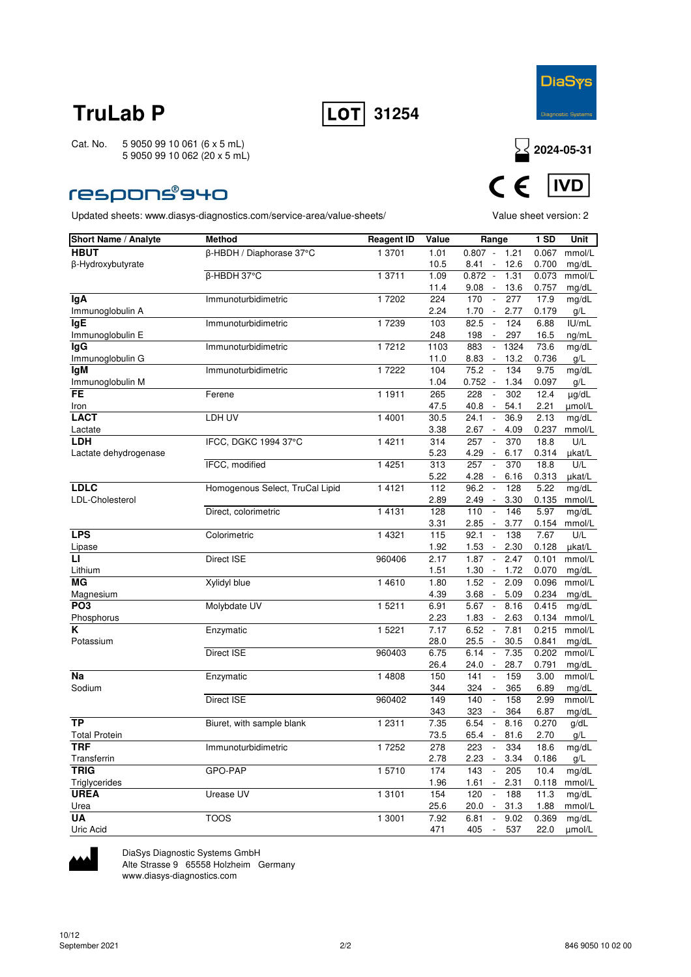



### **respons®940**

Updated sheets: www.diasys-diagnostics.com/service-area/value-sheets/ Value sheet version: 2



| <b>Short Name / Analyte</b> | <b>Method</b>                   | <b>Reagent ID</b> | Value | Range                                       | 1 SD  | Unit   |
|-----------------------------|---------------------------------|-------------------|-------|---------------------------------------------|-------|--------|
| <b>HBUT</b>                 | β-HBDH / Diaphorase 37°C        | 1 3701            | 1.01  | $0.807 -$<br>1.21                           | 0.067 | mmol/L |
| β-Hydroxybutyrate           |                                 |                   | 10.5  | $8.41 -$<br>12.6                            | 0.700 | mg/dL  |
|                             | β-HBDH 37°C                     | 1 3711            | 1.09  | $0.872 -$<br>1.31                           | 0.073 | mmol/L |
|                             |                                 |                   | 11.4  | 9.08<br>13.6<br>$\sim$                      | 0.757 | mg/dL  |
| lgA                         | Immunoturbidimetric             | 17202             | 224   | $\Box$<br>277<br>170                        | 17.9  | mg/dL  |
| Immunoglobulin A            |                                 |                   | 2.24  | 1.70<br>2.77<br>$\blacksquare$              | 0.179 | g/L    |
| <b>lgE</b>                  | Immunoturbidimetric             | 17239             | 103   | 82.5<br>$\Box$<br>124                       | 6.88  | I U/mL |
| Immunoglobulin E            |                                 |                   | 248   | 198<br>297<br>$\sim$                        | 16.5  | ng/mL  |
| lgG                         | Immunoturbidimetric             | 1 7212            | 1103  | $\Box$<br>883<br>1324                       | 73.6  | mg/dL  |
| Immunoglobulin G            |                                 |                   | 11.0  | 8.83<br>13.2                                | 0.736 | g/L    |
| <b>IgM</b>                  | Immunoturbidimetric             | 17222             | 104   | 75.2<br>134<br>$\overline{\phantom{a}}$     | 9.75  | mg/dL  |
| Immunoglobulin M            |                                 |                   | 1.04  | $0.752 -$<br>1.34                           | 0.097 | g/L    |
| <b>FE</b>                   | Ferene                          | 1 1911            | 265   | 228<br>302<br>$\overline{\phantom{a}}$      | 12.4  | µg/dL  |
| Iron                        |                                 |                   | 47.5  | 40.8<br>54.1<br>$\overline{\phantom{a}}$    | 2.21  | umol/L |
| <b>LACT</b>                 | LDH UV                          | 1 4001            | 30.5  | 24.1<br>36.9                                | 2.13  | mg/dL  |
| Lactate                     |                                 |                   | 3.38  | 2.67<br>$\mathbb{Z}$<br>4.09                | 0.237 | mmol/L |
| <b>LDH</b>                  | IFCC, DGKC 1994 37°C            | 14211             | 314   | 257<br>370<br>$\mathbb{L}$                  | 18.8  | U/L    |
| Lactate dehydrogenase       |                                 |                   | 5.23  | 4.29<br>$\overline{\phantom{a}}$<br>6.17    | 0.314 | µkat/L |
|                             | IFCC, modified                  | 1 4 2 5 1         | 313   | 257<br>370<br>$\overline{\phantom{a}}$      | 18.8  | U/L    |
|                             |                                 |                   | 5.22  | 4.28<br>6.16<br>$\overline{\phantom{a}}$    | 0.313 | µkat/L |
| <b>LDLC</b>                 | Homogenous Select, TruCal Lipid | 1 4 1 2 1         | 112   | 96.2<br>128<br>$\overline{\phantom{a}}$     | 5.22  | mg/dL  |
| LDL-Cholesterol             |                                 |                   | 2.89  | 2.49<br>3.30<br>$\overline{\phantom{a}}$    | 0.135 | mmol/L |
|                             | Direct, colorimetric            | 1 4 1 3 1         | 128   | 146<br>110                                  | 5.97  | mg/dL  |
|                             |                                 |                   | 3.31  | 2.85<br>3.77<br>$\sim$                      | 0.154 | mmol/L |
| <b>LPS</b>                  | Colorimetric                    | 1 4 3 2 1         | 115   | 92.1<br>138<br>$\overline{\phantom{a}}$     | 7.67  | U/L    |
| Lipase                      |                                 |                   | 1.92  | 1.53<br>2.30<br>$\overline{\phantom{a}}$    | 0.128 | µkat/L |
| п                           | Direct ISE                      | 960406            | 2.17  | 2.47<br>1.87<br>$\overline{\phantom{a}}$    | 0.101 | mmol/L |
| Lithium                     |                                 |                   | 1.51  | 1.30<br>$\sim$<br>1.72                      | 0.070 | mg/dL  |
| МG                          | Xylidyl blue                    | 14610             | 1.80  | 1.52<br>$\mathbb{L}$<br>2.09                | 0.096 | mmol/L |
| Magnesium                   |                                 |                   | 4.39  | 3.68<br>5.09<br>$\overline{\phantom{a}}$    | 0.234 | mg/dL  |
| PO <sub>3</sub>             | Molybdate UV                    | 1 5 2 1 1         | 6.91  | 5.67<br>8.16<br>$\overline{\phantom{a}}$    | 0.415 | mg/dL  |
| Phosphorus                  |                                 |                   | 2.23  | 1.83<br>2.63                                | 0.134 | mmol/L |
| Κ                           | Enzymatic                       | 1 5221            | 7.17  | 6.52<br>$\Box$<br>7.81                      | 0.215 | mmol/L |
| Potassium                   |                                 |                   | 28.0  | 25.5<br>30.5<br>$\overline{\phantom{a}}$    | 0.841 | mg/dL  |
|                             | Direct ISE                      | 960403            | 6.75  | 6.14<br>7.35<br>$\sim$                      | 0.202 | mmol/L |
|                             |                                 |                   | 26.4  | 28.7<br>24.0<br>$\overline{\phantom{a}}$    | 0.791 | mg/dL  |
| <b>Na</b>                   | Enzymatic                       | 1 4808            | 150   | 141<br>159<br>$\overline{\phantom{a}}$      | 3.00  | mmol/L |
| Sodium                      |                                 |                   | 344   | 324<br>$\sim$<br>365                        | 6.89  | mg/dL  |
|                             | Direct ISE                      | 960402            | 149   | 140<br>158<br>$\sim$                        | 2.99  | mmol/L |
|                             |                                 |                   | 343   | 323<br>364<br>$\overline{\phantom{a}}$      | 6.87  | mg/dL  |
| <b>TP</b>                   | Biuret, with sample blank       | 1 2 3 1 1         | 7.35  | 6.54<br>8.16<br>$\overline{\phantom{a}}$    | 0.270 | g/dL   |
| <b>Total Protein</b>        |                                 |                   | 73.5  | 65.4<br>81.6<br>$\blacksquare$              | 2.70  | g/L    |
| <b>TRF</b>                  | Immunoturbidimetric             | 1 7252            | 278   | 223<br>334<br>$\overline{\phantom{a}}$      | 18.6  | mg/dL  |
| Transferrin                 |                                 |                   | 2.78  | 2.23<br>$\mathcal{L}_{\mathcal{A}}$<br>3.34 | 0.186 | g/L    |
| <b>TRIG</b>                 | GPO-PAP                         | 15710             | 174   | 205<br>143<br>$\sim$                        | 10.4  | mg/dL  |
| Triglycerides               |                                 |                   | 1.96  | 1.61<br>2.31<br>$\overline{\phantom{a}}$    | 0.118 | mmol/L |
| <b>UREA</b>                 | Urease UV                       | 1 3101            | 154   | 120<br>188<br>$\Box$                        | 11.3  | mg/dL  |
| Urea                        |                                 |                   | 25.6  | 20.0<br>$\sim$<br>31.3                      | 1.88  | mmol/L |
| UA                          | <b>TOOS</b>                     | 1 3001            | 7.92  | 6.81<br>9.02<br>$\overline{\phantom{a}}$    | 0.369 | mg/dL  |
| Uric Acid                   |                                 |                   | 471   | 405<br>537<br>$\overline{\phantom{a}}$      | 22.0  | umol/L |



DiaSys Diagnostic Systems GmbH

Alte Strasse 9 65558 Holzheim Germany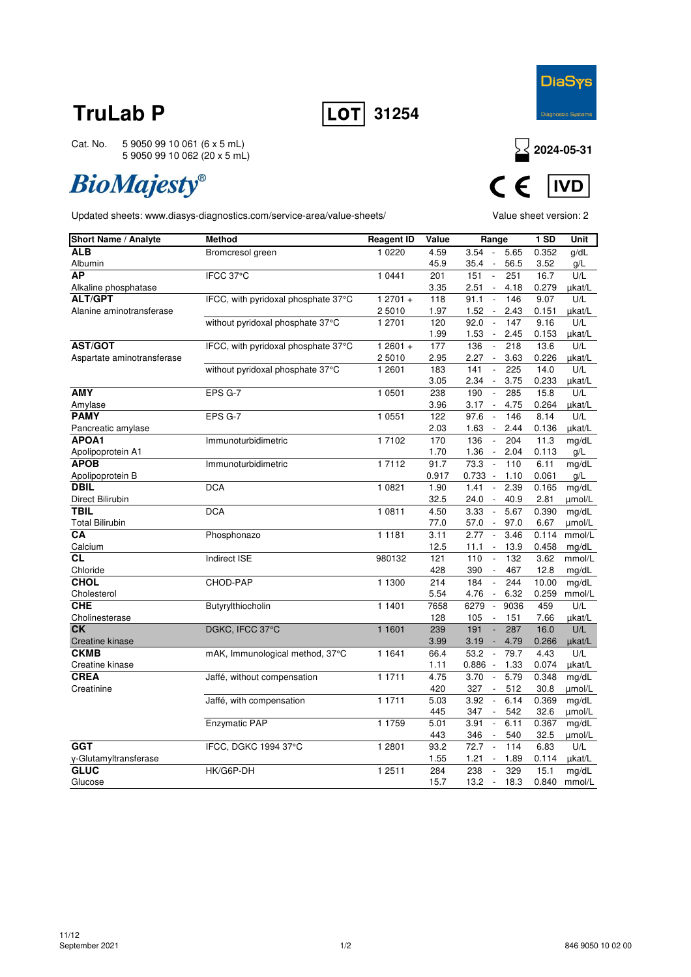



# **BioMajesty®**





| Short Name / Analyte       | <b>Method</b>                       | <b>Reagent ID</b> | Value       | Range                                                                   | 1 SD          | Unit          |
|----------------------------|-------------------------------------|-------------------|-------------|-------------------------------------------------------------------------|---------------|---------------|
| <b>ALB</b>                 | Bromcresol green                    | 1 0 2 2 0         | 4.59        | 3.54<br>5.65<br>$\sim$                                                  | 0.352         | g/dL          |
| Albumin                    |                                     |                   | 45.9        | 35.4<br>56.5<br>$\overline{\phantom{a}}$                                | 3.52          | g/L           |
| <b>AP</b>                  | IFCC 37°C                           | 1 0441            | 201         | 151<br>251<br>$\overline{\phantom{a}}$                                  | 16.7          | U/L           |
| Alkaline phosphatase       |                                     |                   | 3.35        | 2.51<br>$\sim$<br>4.18                                                  | 0.279         | µkat/L        |
| <b>ALT/GPT</b>             | IFCC, with pyridoxal phosphate 37°C | $12701 +$         | 118         | 146<br>91.1<br>$\overline{\phantom{a}}$                                 | 9.07          | U/L           |
| Alanine aminotransferase   |                                     | 25010             | 1.97        | 1.52<br>$\mathcal{L}_{\mathcal{A}}$<br>2.43                             | 0.151         | µkat/L        |
|                            | without pyridoxal phosphate 37°C    | 1 2 7 0 1         | 120         | 92.0<br>147<br>$\sim$                                                   | 9.16          | U/L           |
|                            |                                     |                   | 1.99        | 1.53<br>2.45<br>$\overline{\phantom{a}}$                                | 0.153         | µkat/L        |
| <b>AST/GOT</b>             | IFCC, with pyridoxal phosphate 37°C | $12601 +$         | 177         | 136<br>218<br>$\mathbb{Z}$                                              | 13.6          | U/L           |
| Aspartate aminotransferase |                                     | 2 5010            | 2.95        | 2.27<br>$\overline{\phantom{a}}$<br>3.63                                | 0.226         | µkat/L        |
|                            | without pyridoxal phosphate 37°C    | 1 2601            | 183         | 141<br>225<br>$\overline{\phantom{a}}$                                  | 14.0          | U/L           |
| <b>AMY</b>                 |                                     |                   | 3.05        | 2.34<br>3.75<br>$\overline{\phantom{a}}$<br>190<br>$\sim$<br>285        | 0.233         | µkat/L<br>U/L |
|                            | EPS G-7                             | 1 0501            | 238         |                                                                         | 15.8          |               |
| Amylase<br><b>PAMY</b>     | EPS G-7                             | 1 0551            | 3.96<br>122 | 3.17<br>4.75<br>$\overline{\phantom{a}}$<br>97.6<br>$\mathbf{r}$<br>146 | 0.264<br>8.14 | µkat/L<br>U/L |
| Pancreatic amylase         |                                     |                   | 2.03        | 1.63<br>2.44<br>$\overline{\phantom{a}}$                                | 0.136         | ukat/L        |
| <b>APOA1</b>               | Immunoturbidimetric                 | 17102             | 170         | 136<br>204<br>$\overline{\phantom{a}}$                                  | 11.3          | mg/dL         |
| Apolipoprotein A1          |                                     |                   | 1.70        | 1.36<br>2.04<br>$\overline{\phantom{a}}$                                | 0.113         | g/L           |
| <b>APOB</b>                | Immunoturbidimetric                 | 17112             | 91.7        | 73.3<br>110<br>$\overline{\phantom{a}}$                                 | 6.11          | mg/dL         |
| Apolipoprotein B           |                                     |                   | 0.917       | 0.733<br>$\overline{\phantom{a}}$<br>1.10                               | 0.061         | g/L           |
| <b>DBIL</b>                | <b>DCA</b>                          | 1 0821            | 1.90        | 1.41<br>2.39<br>$\overline{\phantom{a}}$                                | 0.165         | mg/dL         |
| Direct Bilirubin           |                                     |                   | 32.5        | 40.9<br>24.0<br>$\overline{\phantom{a}}$                                | 2.81          | umol/L        |
| <b>TBIL</b>                | <b>DCA</b>                          | 1 0811            | 4.50        | 3.33<br>5.67<br>$\overline{\phantom{a}}$                                | 0.390         | mg/dL         |
| <b>Total Bilirubin</b>     |                                     |                   | 77.0        | 57.0<br>97.0<br>$\blacksquare$                                          | 6.67          | umol/L        |
| CA                         | Phosphonazo                         | 1 1 1 8 1         | 3.11        | 2.77<br>3.46<br>$\sim$                                                  | 0.114         | mmol/L        |
| Calcium                    |                                     |                   | 12.5        | 13.9<br>$11.1 -$                                                        | 0.458         | mg/dL         |
| <b>CL</b>                  | Indirect ISE                        | 980132            | 121         | 132<br>110<br>$\overline{\phantom{a}}$                                  | 3.62          | mmol/L        |
| Chloride                   |                                     |                   | 428         | 390<br>467<br>$\overline{\phantom{a}}$                                  | 12.8          | mg/dL         |
| <b>CHOL</b>                | CHOD-PAP                            | 1 1300            | 214         | 184<br>244<br>$\overline{\phantom{a}}$                                  | 10.00         | mg/dL         |
| Cholesterol                |                                     |                   | 5.54        | 4.76<br>6.32<br>$\overline{\phantom{a}}$                                | 0.259         | mmol/L        |
| <b>CHE</b>                 | Butyrylthiocholin                   | 1 1401            | 7658        | 6279<br>9036<br>$\overline{\phantom{a}}$                                | 459           | U/L           |
| Cholinesterase             |                                     |                   | 128         | 105<br>$\overline{\phantom{a}}$<br>151                                  | 7.66          | µkat/L        |
| <b>CK</b>                  | DGKC, IFCC 37°C                     | 1 1601            | 239         | 287<br>191<br>$\overline{\phantom{a}}$                                  | 16.0          | U/L           |
| Creatine kinase            |                                     |                   | 3.99        | 3.19<br>4.79<br>$\overline{\phantom{a}}$                                | 0.266         | µkat/L        |
| <b>CKMB</b>                | mAK, Immunological method, 37°C     | 1 1 6 4 1         | 66.4        | 53.2<br>$\mathbb{Z}$<br>79.7                                            | 4.43          | U/L           |
| Creatine kinase            |                                     |                   | 1.11        | 0.886<br>1.33<br>$\overline{\phantom{a}}$                               | 0.074         | µkat/L        |
| <b>CREA</b>                | Jaffé, without compensation         | 1 1711            | 4.75        | 3.70<br>5.79<br>$\overline{\phantom{a}}$                                | 0.348         | mg/dL         |
| Creatinine                 |                                     |                   | 420         | 327<br>512<br>$\overline{\phantom{a}}$                                  | 30.8          | umol/L        |
|                            | Jaffé, with compensation            | 1 1711            | 5.03        | 3.92<br>6.14<br>$\overline{\phantom{a}}$                                | 0.369         | mg/dL         |
|                            |                                     |                   | 445         | 347<br>542<br>$\overline{\phantom{a}}$                                  | 32.6          | umol/L        |
|                            | Enzymatic PAP                       | 1 1759            | 5.01        | 3.91<br>6.11<br>$\overline{\phantom{a}}$                                | 0.367         | mg/dL         |
|                            |                                     |                   | 443         | 346<br>540<br>$\overline{\phantom{a}}$                                  | 32.5          | umol/L        |
| <b>GGT</b>                 | IFCC, DGKC 1994 37°C                | 1 2801            | 93.2        | 72.7<br>114<br>$\overline{\phantom{a}}$                                 | 6.83          | U/L           |
| γ-Glutamyltransferase      |                                     |                   | 1.55        | 1.21<br>1.89<br>$\overline{\phantom{a}}$                                | 0.114         | µkat/L        |
| <b>GLUC</b>                | HK/G6P-DH                           | 1 2511            | 284         | 238<br>329<br>$\overline{\phantom{a}}$                                  | 15.1          | mg/dL         |
| Glucose                    |                                     |                   | 15.7        | 13.2<br>18.3<br>$\overline{\phantom{a}}$                                | 0.840         | mmol/L        |